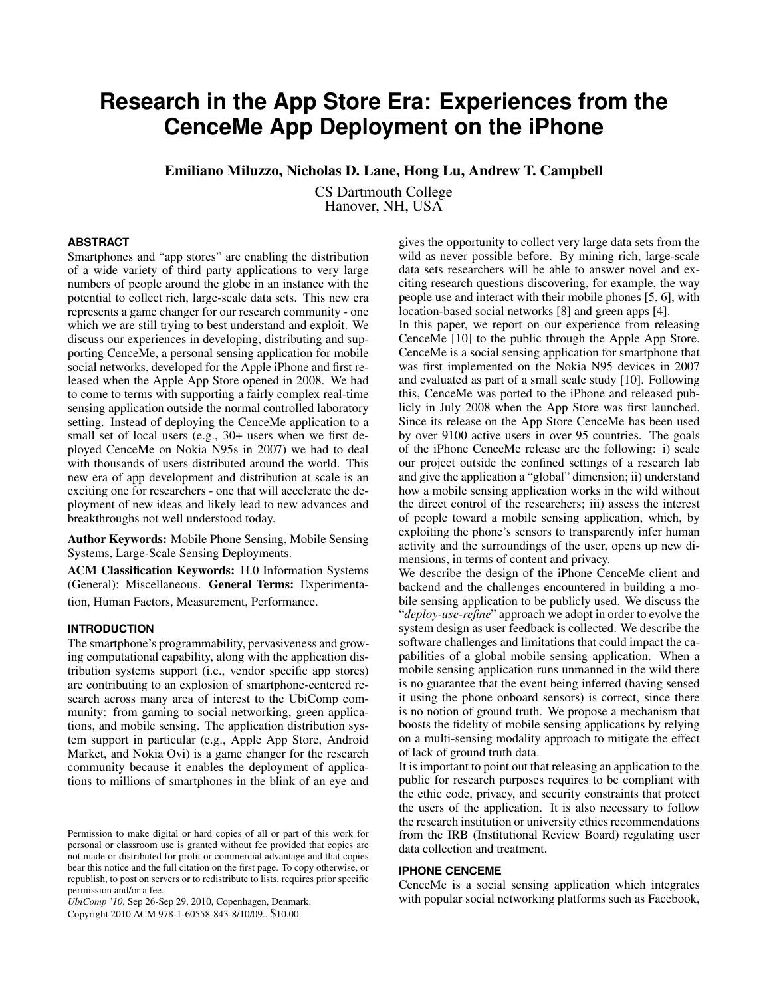# **Research in the App Store Era: Experiences from the CenceMe App Deployment on the iPhone**

Emiliano Miluzzo, Nicholas D. Lane, Hong Lu, Andrew T. Campbell

CS Dartmouth College Hanover, NH, USA

## **ABSTRACT**

Smartphones and "app stores" are enabling the distribution of a wide variety of third party applications to very large numbers of people around the globe in an instance with the potential to collect rich, large-scale data sets. This new era represents a game changer for our research community - one which we are still trying to best understand and exploit. We discuss our experiences in developing, distributing and supporting CenceMe, a personal sensing application for mobile social networks, developed for the Apple iPhone and first released when the Apple App Store opened in 2008. We had to come to terms with supporting a fairly complex real-time sensing application outside the normal controlled laboratory setting. Instead of deploying the CenceMe application to a small set of local users (e.g., 30+ users when we first deployed CenceMe on Nokia N95s in 2007) we had to deal with thousands of users distributed around the world. This new era of app development and distribution at scale is an exciting one for researchers - one that will accelerate the deployment of new ideas and likely lead to new advances and breakthroughs not well understood today.

Author Keywords: Mobile Phone Sensing, Mobile Sensing Systems, Large-Scale Sensing Deployments.

ACM Classification Keywords: H.0 Information Systems (General): Miscellaneous. General Terms: Experimentation, Human Factors, Measurement, Performance.

## **INTRODUCTION**

The smartphone's programmability, pervasiveness and growing computational capability, along with the application distribution systems support (i.e., vendor specific app stores) are contributing to an explosion of smartphone-centered research across many area of interest to the UbiComp community: from gaming to social networking, green applications, and mobile sensing. The application distribution system support in particular (e.g., Apple App Store, Android Market, and Nokia Ovi) is a game changer for the research community because it enables the deployment of applications to millions of smartphones in the blink of an eye and

*UbiComp '10*, Sep 26-Sep 29, 2010, Copenhagen, Denmark.

Copyright 2010 ACM 978-1-60558-843-8/10/09...\$10.00.

gives the opportunity to collect very large data sets from the wild as never possible before. By mining rich, large-scale data sets researchers will be able to answer novel and exciting research questions discovering, for example, the way people use and interact with their mobile phones [\[5,](#page-3-0) [6\]](#page-3-1), with location-based social networks [\[8\]](#page-3-2) and green apps [\[4\]](#page-3-3).

In this paper, we report on our experience from releasing CenceMe [\[10\]](#page-3-4) to the public through the Apple App Store. CenceMe is a social sensing application for smartphone that was first implemented on the Nokia N95 devices in 2007 and evaluated as part of a small scale study [\[10\]](#page-3-4). Following this, CenceMe was ported to the iPhone and released publicly in July 2008 when the App Store was first launched. Since its release on the App Store CenceMe has been used by over 9100 active users in over 95 countries. The goals of the iPhone CenceMe release are the following: i) scale our project outside the confined settings of a research lab and give the application a "global" dimension; ii) understand how a mobile sensing application works in the wild without the direct control of the researchers; iii) assess the interest of people toward a mobile sensing application, which, by exploiting the phone's sensors to transparently infer human activity and the surroundings of the user, opens up new dimensions, in terms of content and privacy.

We describe the design of the iPhone CenceMe client and backend and the challenges encountered in building a mobile sensing application to be publicly used. We discuss the "*deploy-use-refine*" approach we adopt in order to evolve the system design as user feedback is collected. We describe the software challenges and limitations that could impact the capabilities of a global mobile sensing application. When a mobile sensing application runs unmanned in the wild there is no guarantee that the event being inferred (having sensed it using the phone onboard sensors) is correct, since there is no notion of ground truth. We propose a mechanism that boosts the fidelity of mobile sensing applications by relying on a multi-sensing modality approach to mitigate the effect of lack of ground truth data.

It is important to point out that releasing an application to the public for research purposes requires to be compliant with the ethic code, privacy, and security constraints that protect the users of the application. It is also necessary to follow the research institution or university ethics recommendations from the IRB (Institutional Review Board) regulating user data collection and treatment.

## **IPHONE CENCEME**

CenceMe is a social sensing application which integrates with popular social networking platforms such as Facebook,

Permission to make digital or hard copies of all or part of this work for personal or classroom use is granted without fee provided that copies are not made or distributed for profit or commercial advantage and that copies bear this notice and the full citation on the first page. To copy otherwise, or republish, to post on servers or to redistribute to lists, requires prior specific permission and/or a fee.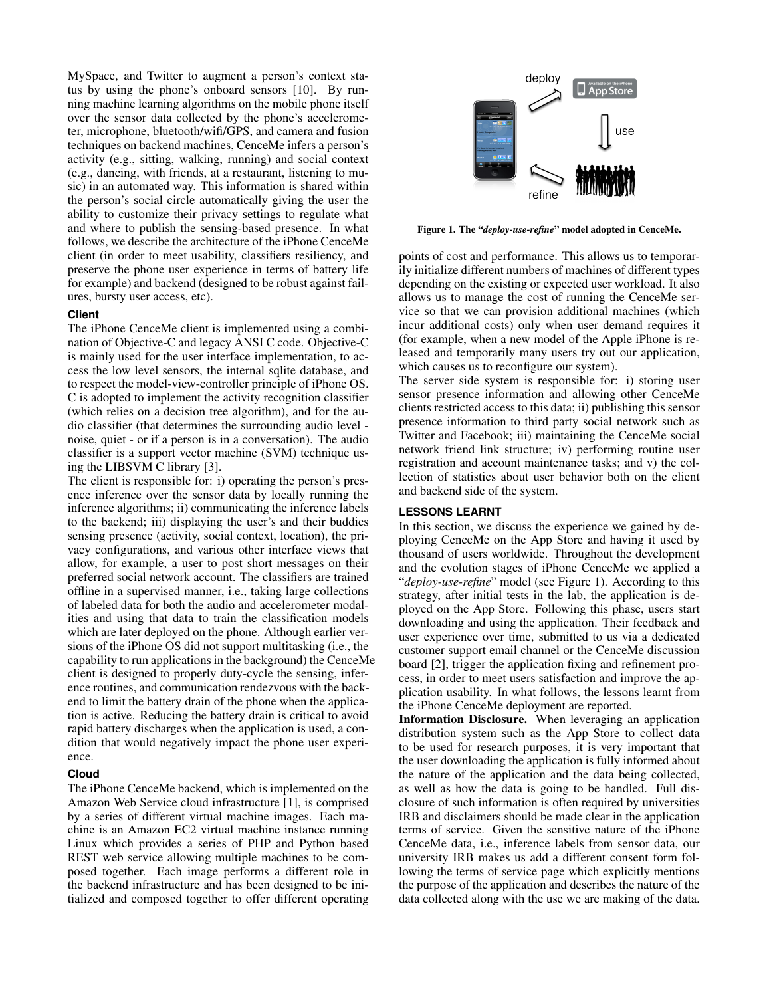MySpace, and Twitter to augment a person's context status by using the phone's onboard sensors [\[10\]](#page-3-4). By running machine learning algorithms on the mobile phone itself over the sensor data collected by the phone's accelerometer, microphone, bluetooth/wifi/GPS, and camera and fusion techniques on backend machines, CenceMe infers a person's activity (e.g., sitting, walking, running) and social context (e.g., dancing, with friends, at a restaurant, listening to music) in an automated way. This information is shared within the person's social circle automatically giving the user the ability to customize their privacy settings to regulate what and where to publish the sensing-based presence. In what follows, we describe the architecture of the iPhone CenceMe client (in order to meet usability, classifiers resiliency, and preserve the phone user experience in terms of battery life for example) and backend (designed to be robust against failures, bursty user access, etc).

#### **Client**

The iPhone CenceMe client is implemented using a combination of Objective-C and legacy ANSI C code. Objective-C is mainly used for the user interface implementation, to access the low level sensors, the internal sqlite database, and to respect the model-view-controller principle of iPhone OS. C is adopted to implement the activity recognition classifier (which relies on a decision tree algorithm), and for the audio classifier (that determines the surrounding audio level noise, quiet - or if a person is in a conversation). The audio classifier is a support vector machine (SVM) technique using the LIBSVM C library [\[3\]](#page-3-5).

The client is responsible for: i) operating the person's presence inference over the sensor data by locally running the inference algorithms; ii) communicating the inference labels to the backend; iii) displaying the user's and their buddies sensing presence (activity, social context, location), the privacy configurations, and various other interface views that allow, for example, a user to post short messages on their preferred social network account. The classifiers are trained offline in a supervised manner, i.e., taking large collections of labeled data for both the audio and accelerometer modalities and using that data to train the classification models which are later deployed on the phone. Although earlier versions of the iPhone OS did not support multitasking (i.e., the capability to run applications in the background) the CenceMe client is designed to properly duty-cycle the sensing, inference routines, and communication rendezvous with the backend to limit the battery drain of the phone when the application is active. Reducing the battery drain is critical to avoid rapid battery discharges when the application is used, a condition that would negatively impact the phone user experience.

## **Cloud**

The iPhone CenceMe backend, which is implemented on the Amazon Web Service cloud infrastructure [\[1\]](#page-3-6), is comprised by a series of different virtual machine images. Each machine is an Amazon EC2 virtual machine instance running Linux which provides a series of PHP and Python based REST web service allowing multiple machines to be composed together. Each image performs a different role in the backend infrastructure and has been designed to be initialized and composed together to offer different operating



<span id="page-1-0"></span>Figure 1. The "*deploy-use-refine*" model adopted in CenceMe.

points of cost and performance. This allows us to temporarily initialize different numbers of machines of different types depending on the existing or expected user workload. It also allows us to manage the cost of running the CenceMe service so that we can provision additional machines (which incur additional costs) only when user demand requires it (for example, when a new model of the Apple iPhone is released and temporarily many users try out our application, which causes us to reconfigure our system).

The server side system is responsible for: i) storing user sensor presence information and allowing other CenceMe clients restricted access to this data; ii) publishing this sensor presence information to third party social network such as Twitter and Facebook; iii) maintaining the CenceMe social network friend link structure; iv) performing routine user registration and account maintenance tasks; and v) the collection of statistics about user behavior both on the client and backend side of the system.

#### **LESSONS LEARNT**

In this section, we discuss the experience we gained by deploying CenceMe on the App Store and having it used by thousand of users worldwide. Throughout the development and the evolution stages of iPhone CenceMe we applied a "*deploy-use-refine*" model (see Figure [1\)](#page-1-0). According to this strategy, after initial tests in the lab, the application is deployed on the App Store. Following this phase, users start downloading and using the application. Their feedback and user experience over time, submitted to us via a dedicated customer support email channel or the CenceMe discussion board [\[2\]](#page-3-7), trigger the application fixing and refinement process, in order to meet users satisfaction and improve the application usability. In what follows, the lessons learnt from the iPhone CenceMe deployment are reported.

Information Disclosure. When leveraging an application distribution system such as the App Store to collect data to be used for research purposes, it is very important that the user downloading the application is fully informed about the nature of the application and the data being collected, as well as how the data is going to be handled. Full disclosure of such information is often required by universities IRB and disclaimers should be made clear in the application terms of service. Given the sensitive nature of the iPhone CenceMe data, i.e., inference labels from sensor data, our university IRB makes us add a different consent form following the terms of service page which explicitly mentions the purpose of the application and describes the nature of the data collected along with the use we are making of the data.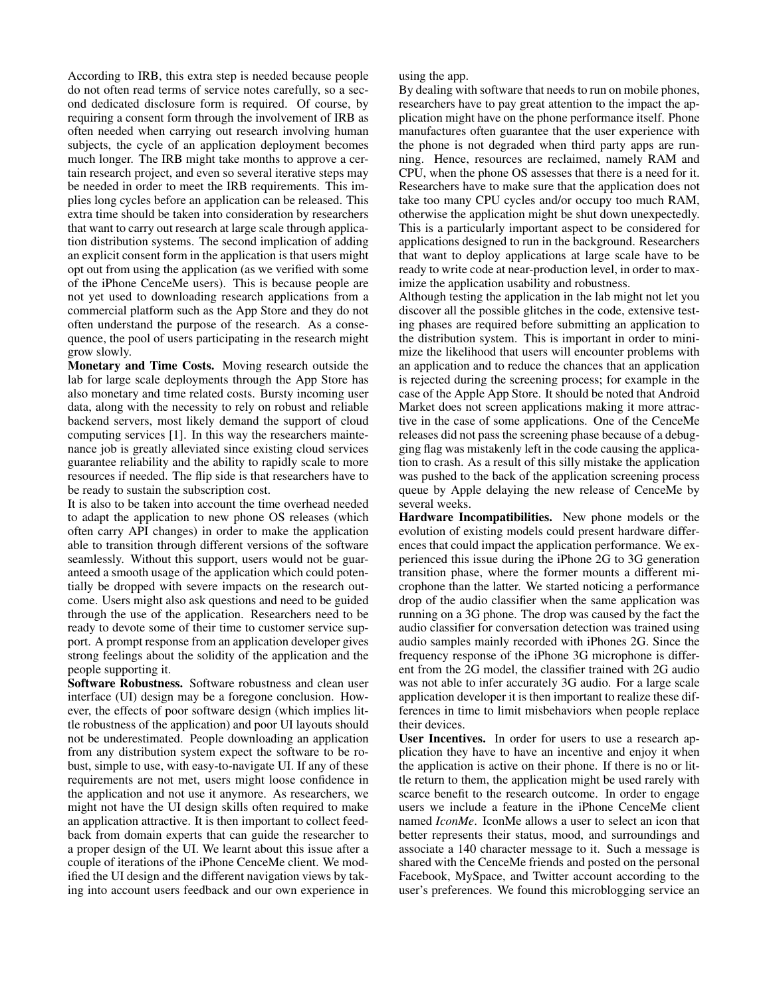According to IRB, this extra step is needed because people do not often read terms of service notes carefully, so a second dedicated disclosure form is required. Of course, by requiring a consent form through the involvement of IRB as often needed when carrying out research involving human subjects, the cycle of an application deployment becomes much longer. The IRB might take months to approve a certain research project, and even so several iterative steps may be needed in order to meet the IRB requirements. This implies long cycles before an application can be released. This extra time should be taken into consideration by researchers that want to carry out research at large scale through application distribution systems. The second implication of adding an explicit consent form in the application is that users might opt out from using the application (as we verified with some of the iPhone CenceMe users). This is because people are not yet used to downloading research applications from a commercial platform such as the App Store and they do not often understand the purpose of the research. As a consequence, the pool of users participating in the research might grow slowly.

Monetary and Time Costs. Moving research outside the lab for large scale deployments through the App Store has also monetary and time related costs. Bursty incoming user data, along with the necessity to rely on robust and reliable backend servers, most likely demand the support of cloud computing services [\[1\]](#page-3-6). In this way the researchers maintenance job is greatly alleviated since existing cloud services guarantee reliability and the ability to rapidly scale to more resources if needed. The flip side is that researchers have to be ready to sustain the subscription cost.

It is also to be taken into account the time overhead needed to adapt the application to new phone OS releases (which often carry API changes) in order to make the application able to transition through different versions of the software seamlessly. Without this support, users would not be guaranteed a smooth usage of the application which could potentially be dropped with severe impacts on the research outcome. Users might also ask questions and need to be guided through the use of the application. Researchers need to be ready to devote some of their time to customer service support. A prompt response from an application developer gives strong feelings about the solidity of the application and the people supporting it.

Software Robustness. Software robustness and clean user interface (UI) design may be a foregone conclusion. However, the effects of poor software design (which implies little robustness of the application) and poor UI layouts should not be underestimated. People downloading an application from any distribution system expect the software to be robust, simple to use, with easy-to-navigate UI. If any of these requirements are not met, users might loose confidence in the application and not use it anymore. As researchers, we might not have the UI design skills often required to make an application attractive. It is then important to collect feedback from domain experts that can guide the researcher to a proper design of the UI. We learnt about this issue after a couple of iterations of the iPhone CenceMe client. We modified the UI design and the different navigation views by taking into account users feedback and our own experience in using the app.

By dealing with software that needs to run on mobile phones, researchers have to pay great attention to the impact the application might have on the phone performance itself. Phone manufactures often guarantee that the user experience with the phone is not degraded when third party apps are running. Hence, resources are reclaimed, namely RAM and CPU, when the phone OS assesses that there is a need for it. Researchers have to make sure that the application does not take too many CPU cycles and/or occupy too much RAM, otherwise the application might be shut down unexpectedly. This is a particularly important aspect to be considered for applications designed to run in the background. Researchers that want to deploy applications at large scale have to be ready to write code at near-production level, in order to maximize the application usability and robustness.

Although testing the application in the lab might not let you discover all the possible glitches in the code, extensive testing phases are required before submitting an application to the distribution system. This is important in order to minimize the likelihood that users will encounter problems with an application and to reduce the chances that an application is rejected during the screening process; for example in the case of the Apple App Store. It should be noted that Android Market does not screen applications making it more attractive in the case of some applications. One of the CenceMe releases did not pass the screening phase because of a debugging flag was mistakenly left in the code causing the application to crash. As a result of this silly mistake the application was pushed to the back of the application screening process queue by Apple delaying the new release of CenceMe by several weeks.

Hardware Incompatibilities. New phone models or the evolution of existing models could present hardware differences that could impact the application performance. We experienced this issue during the iPhone 2G to 3G generation transition phase, where the former mounts a different microphone than the latter. We started noticing a performance drop of the audio classifier when the same application was running on a 3G phone. The drop was caused by the fact the audio classifier for conversation detection was trained using audio samples mainly recorded with iPhones 2G. Since the frequency response of the iPhone 3G microphone is different from the 2G model, the classifier trained with 2G audio was not able to infer accurately 3G audio. For a large scale application developer it is then important to realize these differences in time to limit misbehaviors when people replace their devices.

User Incentives. In order for users to use a research application they have to have an incentive and enjoy it when the application is active on their phone. If there is no or little return to them, the application might be used rarely with scarce benefit to the research outcome. In order to engage users we include a feature in the iPhone CenceMe client named *IconMe*. IconMe allows a user to select an icon that better represents their status, mood, and surroundings and associate a 140 character message to it. Such a message is shared with the CenceMe friends and posted on the personal Facebook, MySpace, and Twitter account according to the user's preferences. We found this microblogging service an